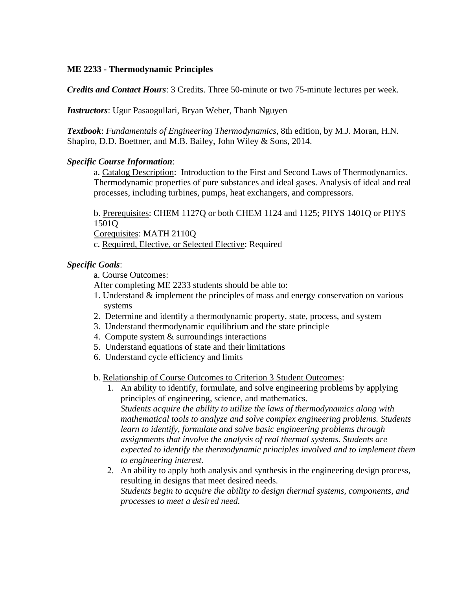## **ME 2233 - Thermodynamic Principles**

*Credits and Contact Hours*: 3 Credits. Three 50-minute or two 75-minute lectures per week.

*Instructors*: Ugur Pasaogullari, Bryan Weber, Thanh Nguyen

*Textbook*: *Fundamentals of Engineering Thermodynamics*, 8th edition, by M.J. Moran, H.N. Shapiro, D.D. Boettner, and M.B. Bailey, John Wiley & Sons, 2014.

## *Specific Course Information*:

a. Catalog Description: Introduction to the First and Second Laws of Thermodynamics. Thermodynamic properties of pure substances and ideal gases. Analysis of ideal and real processes, including turbines, pumps, heat exchangers, and compressors.

b. Prerequisites: CHEM 1127Q or both CHEM 1124 and 1125; PHYS 1401Q or PHYS 1501Q

Corequisites: MATH 2110Q

c. Required, Elective, or Selected Elective: Required

## *Specific Goals*:

a. Course Outcomes:

After completing ME 2233 students should be able to:

- 1. Understand & implement the principles of mass and energy conservation on various systems
- 2. Determine and identify a thermodynamic property, state, process, and system
- 3. Understand thermodynamic equilibrium and the state principle
- 4. Compute system & surroundings interactions
- 5. Understand equations of state and their limitations
- 6. Understand cycle efficiency and limits

b. Relationship of Course Outcomes to Criterion 3 Student Outcomes:

- 1. An ability to identify, formulate, and solve engineering problems by applying principles of engineering, science, and mathematics. *Students acquire the ability to utilize the laws of thermodynamics along with mathematical tools to analyze and solve complex engineering problems. Students learn to identify, formulate and solve basic engineering problems through assignments that involve the analysis of real thermal systems. Students are expected to identify the thermodynamic principles involved and to implement them to engineering interest.*
- 2. An ability to apply both analysis and synthesis in the engineering design process, resulting in designs that meet desired needs. *Students begin to acquire the ability to design thermal systems, components, and processes to meet a desired need.*